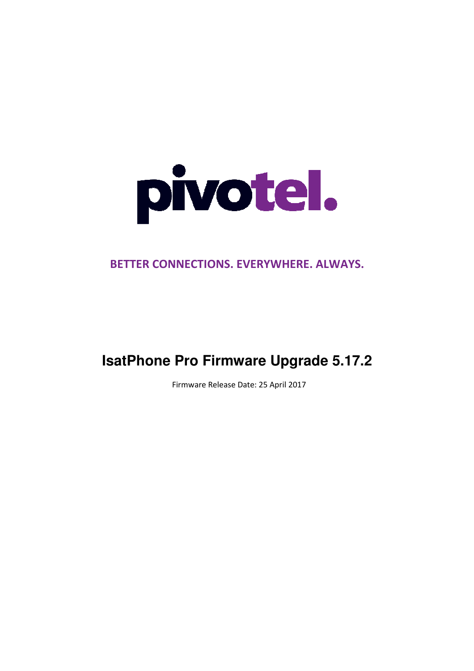

# BETTER CONNECTIONS. EVERYWHERE. ALWAYS.

# **IsatPhone Pro Firmware Upgrade 5.17.2**

Firmware Release Date: 25 April 2017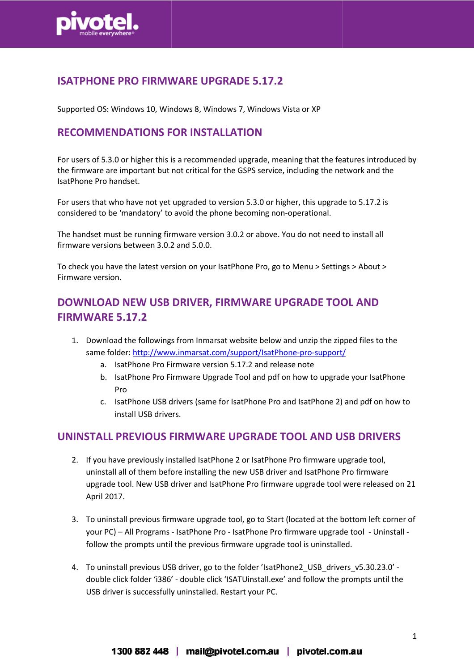

### ISATPHONE PRO FIRMWARE UPGRADE 5.1 5.17.2

Supported OS: Windows 10, Windows 8, Windows 7, Windows Vista or XP

### RECOMMENDATIONS FOR INSTALLATION

For users of 5.3.0 or higher this is a recommended upgrade, meaning that the features introduced by the firmware are important but not critical for the GSPS service, including the network and the IsatPhone Pro handset.

For users that who have not yet upgraded to version 5.3.0 or higher, this upgrade to 5.17.2 is considered to be 'mandatory' to avoid the phone becoming non-operational.

The handset must be running firmware version 3.0.2 or above. You do not need to install all firmware versions between 3.0.2 and 5.0.0.

To check you have the latest version on your IsatPhone Pro, go to Menu > Settings > About > Firmware version.

## DOWNLOAD NEW USB DRIVER, FIRMWARE UPGRADE TOOL AND FIRMWARE 5.17.2

- 1. Download the followings from Inmarsat website below and unzip the zipped files to the same folder: http://www.inmarsat.com/support/IsatPhone-pro-support/
	- a. IsatPhone Pro Firmware version 5.17.2 and release note
	- e folder: <u>http://www.inmarsat.com/support/IsatPhone-pro-support/</u><br>a. IsatPhone Pro Firmware version 5.17.2 and release note<br>b. IsatPhone Pro Firmware Upgrade Tool and pdf on how to upgrade your IsatPhone Pro
	- c. IsatPhone USB drivers (same for IsatPhone Pro and IsatPhone 2) and pdf on how to install USB drivers.

#### UNINSTALL PREVIOUS FIRMWARE UPGRADE TOOL AND USB DRIVERS

- 2. If you have previously installed IsatPhone 2 or IsatPhone Pro firmware upgrade tool, uninstall all of them before installing the new USB driver and IsatPhone Pro Pro firmware upgrade tool. New USB driver and IsatPhone Pro firmware upgrade tool were released on 21 April 2017.
- 3. To uninstall previous firmware upgrade tool, go to Start (located at the bottom left corner of your PC) - All Programs - IsatPhone Pro - IsatPhone Pro firmware upgrade tool - Uninstall follow the prompts until the previous firmware upgrade tool is uninstalled.
- 4. To uninstall previous USB driver, go to the folder 'IsatPhone2\_USB\_drivers\_v5.30.23.0' double click folder 'i386' - double click 'ISATUinstall.exe' and follow the prompts until the USB driver is successfully uninstalled. Restart your PC.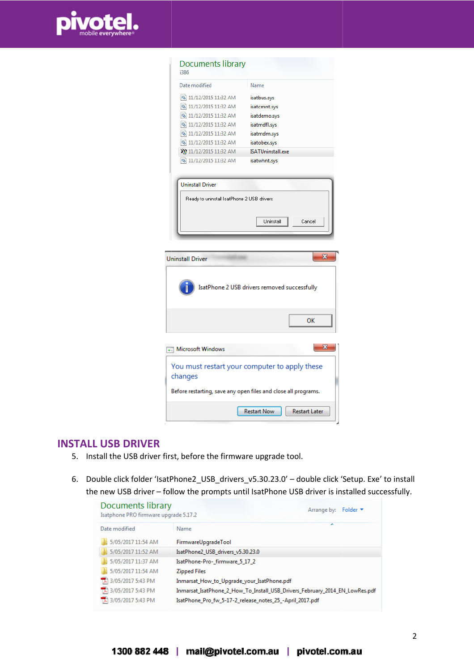

| <b>Documents library</b><br>i386                                      |                                               |
|-----------------------------------------------------------------------|-----------------------------------------------|
| Date modified                                                         | Name                                          |
| 3 11/12/2015 11:32 AM                                                 | isatbus.sys                                   |
| 3 11/12/2015 11:32 AM                                                 | isatcmnt.sys                                  |
| 3 11/12/2015 11:32 AM                                                 | isatdemo.sys                                  |
| 3 11/12/2015 11:32 AM                                                 | isatmdfl.sys                                  |
| 3 11/12/2015 11:32 AM                                                 | isatmdm.sys                                   |
| 3 11/12/2015 11:32 AM                                                 | isatobex.sys                                  |
| 11/12/2015 11:32 AM                                                   | ISATUninstall.exe                             |
| S 11/12/2015 11:32 AM                                                 | isatwhnt.sys                                  |
| <b>Uninstall Driver</b><br>Ready to uninstall IsatPhone 2 USB drivers |                                               |
|                                                                       | Cancel<br>Uninstall                           |
| <b>Uninstall Driver</b>                                               | x                                             |
|                                                                       | IsatPhone 2 USB drivers removed successfully  |
|                                                                       | OK                                            |
| Microsoft Windows                                                     | х                                             |
| changes                                                               | You must restart your computer to apply these |
| Before restarting, save any open files and close all programs.        |                                               |
| <b>Restart Now</b>                                                    |                                               |

#### INSTALL USB DRIVER

- 5. Install the USB driver first, before the firmware upgrade tool.
- 6. Double click folder 'IsatPhone2\_USB\_drivers\_v5.30.23.0' double click 'Setup. Exe' to install the new USB driver - follow the prompts until IsatPhone USB driver is installed successfully.

| Documents library<br>Isatphone PRO firmware upgrade 5.17.2 | Folder <b>v</b><br>Arrange by:                                              |
|------------------------------------------------------------|-----------------------------------------------------------------------------|
| Date modified                                              | ∽<br>Name                                                                   |
| 5/05/2017 11:54 AM                                         | FirmwareUpgradeTool                                                         |
| 5/05/2017 11:52 AM                                         | IsatPhone2 USB drivers v5.30.23.0                                           |
| 5/05/2017 11:37 AM                                         | IsatPhone-Pro-firmware 5 17 2                                               |
| 5/05/2017 11:54 AM                                         | <b>Zipped Files</b>                                                         |
| 3/05/2017 5:43 PM                                          | Inmarsat_How_to_Upgrade_your_IsatPhone.pdf                                  |
| 3/05/2017 5:43 PM                                          | Inmarsat_IsatPhone_2_How_To_Install_USB_Drivers_February_2014_EN_LowRes.pdf |
| 3/05/2017 5:43 PM                                          | IsatPhone_Pro_fw_5-17-2_release_notes_25_-April_2017.pdf                    |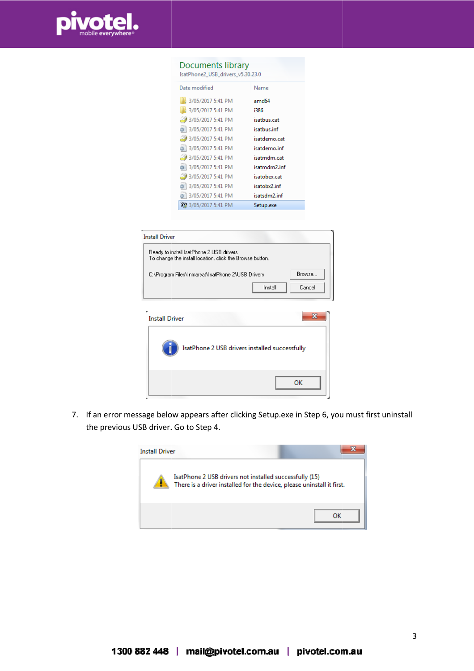

#### **Documents library**

| IsatPhone2_USB_drivers_v5.30.23.0 |                   |
|-----------------------------------|-------------------|
| Date modified                     | Name              |
| 3/05/2017 5:41 PM                 | amd <sub>64</sub> |
| 3/05/2017 5:41 PM                 | i386              |
| 3/05/2017 5:41 PM                 | isatbus.cat       |
| ◎ 3/05/2017 5:41 PM               | isatbus.inf       |
| 3/05/2017 5:41 PM                 | isatdemo.cat      |
| ◎ 3/05/2017 5:41 PM               | isatdemo.inf      |
| 3/05/2017 5:41 PM                 | isatmdm.cat       |
| ◎ 3/05/2017 5:41 PM               | isatmdm2.inf      |
| 3/05/2017 5:41 PM                 | isatobex.cat      |
| <b>a</b> 3/05/2017 5:41 PM        | isatobx2.inf      |
| ◎ 3/05/2017 5:41 PM               | isatsdm2.inf      |
| 3/05/2017 5:41 PM                 | Setup.exe         |

| <b>Install Driver</b>                                                                                |        |
|------------------------------------------------------------------------------------------------------|--------|
| Ready to install IsatPhone 2 USB drivers<br>To change the install location, click the Browse button. |        |
| C:\Program Files\Inmarsat\IsatPhone 2\USB Drivers                                                    | Browse |
| Install                                                                                              | Cancel |

| e<br><b>Install Driver</b> |                                                |
|----------------------------|------------------------------------------------|
|                            | IsatPhone 2 USB drivers installed successfully |
|                            | ок                                             |

7. If an error message below appears after clicking Setup.exe in Step 6, you must first uninstall the previous USB driver. Go to Step 4.

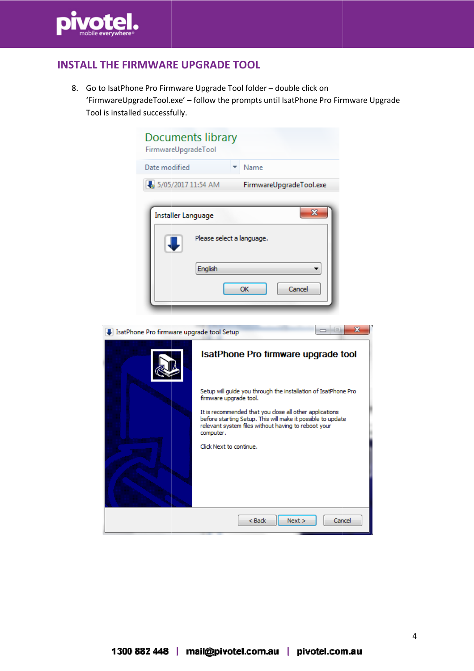

# INSTALL THE FIRMWARE UPGRADE TOOL

8. Go to IsatPhone Pro Firmware Upgrade Tool folder – double click on 'FirmwareUpgradeTool.exe FirmwareUpgradeTool.exe' – follow the prompts until IsatPhone Pro Firmware Upgrade Tool is installed successfully.

| Documents library<br>FirmwareUpgradeTool  |                                                                                                                                                                                            |  |  |
|-------------------------------------------|--------------------------------------------------------------------------------------------------------------------------------------------------------------------------------------------|--|--|
| Date modified                             | Name                                                                                                                                                                                       |  |  |
| 5/05/2017 11:54 AM                        | FirmwareUpgradeTool.exe                                                                                                                                                                    |  |  |
| Installer Language                        | $\overline{\mathbf{x}}$<br>Please select a language.<br>English<br>Cancel<br>OK                                                                                                            |  |  |
| IsatPhone Pro firmware upgrade tool Setup | x<br>$\overline{\phantom{a}}$<br>$\qquad \qquad \Box$                                                                                                                                      |  |  |
|                                           | IsatPhone Pro firmware upgrade tool                                                                                                                                                        |  |  |
|                                           | Setup will guide you through the installation of IsatPhone Pro<br>firmware upgrade tool.                                                                                                   |  |  |
|                                           | It is recommended that you close all other applications<br>before starting Setup. This will make it possible to update<br>relevant system files without having to reboot your<br>computer. |  |  |
|                                           | Click Next to continue.                                                                                                                                                                    |  |  |
|                                           | $8$ Back<br>Next ><br>Cancel                                                                                                                                                               |  |  |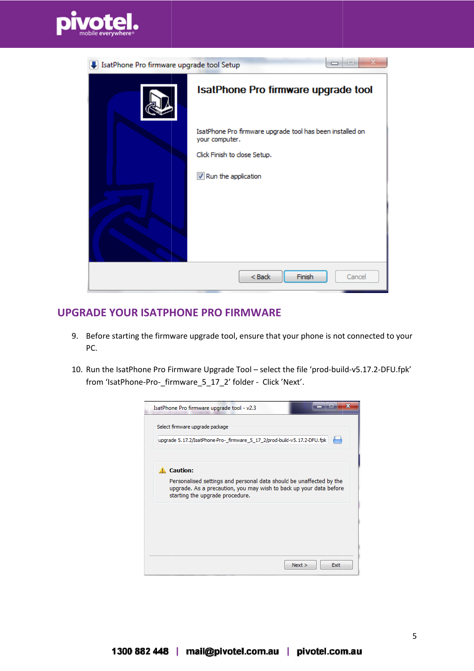

| IsatPhone Pro firmware upgrade tool Setup |                                                                             |
|-------------------------------------------|-----------------------------------------------------------------------------|
|                                           | IsatPhone Pro firmware upgrade tool                                         |
|                                           | IsatPhone Pro firmware upgrade tool has been installed on<br>your computer. |
|                                           | Click Finish to close Setup.                                                |
|                                           | V Run the application                                                       |
|                                           |                                                                             |
|                                           | $<$ Back<br>Finish<br>Cancel                                                |

### UPGRADE YOUR ISATPHONE ISATPHONE PRO FIRMWARE

- 9. Before starting the firmware upgrade tool, ensure that your phone is not connected to your PC.
- 10. Run the IsatPhone Pro Firmware Upgrade Tool select the file 'prod-build build-v5.17.2-DFU.fpk' from 'IsatPhone-Pro-\_firmware\_5\_17\_2 \_firmware\_5\_17\_2' folder - Click 'Next'.

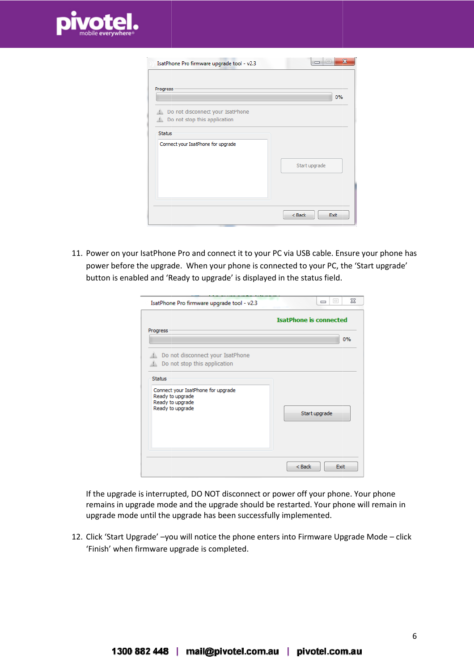

| IsatPhone Pro firmware upgrade tool - v2.3                                 | $\mathbf{x}$<br>$\equiv$ |
|----------------------------------------------------------------------------|--------------------------|
| Progress                                                                   | 0%                       |
| Do not disconnect your IsatPhone<br>盀<br>Do not stop this application<br>盀 |                          |
| <b>Status</b><br>Connect your IsatPhone for upgrade                        | Start upgrade            |
|                                                                            | $<$ Back<br>Exit         |

11. Power on your IsatPhone Pro and connect it to your PC via USB cable. Ensure your phone has power before the upgrade. When your phone is connected to your PC, the 'Start upgrade' button is enabled and 'Ready to upgrade' is displayed in the status field.

| IsatPhone Pro firmware upgrade tool - v2.3                                                               | ΣŜ<br>$\boxed{\square}$<br>$\Box$ |
|----------------------------------------------------------------------------------------------------------|-----------------------------------|
|                                                                                                          | <b>IsatPhone is connected</b>     |
| Progress                                                                                                 | 0%                                |
| Do not disconnect your IsatPhone<br>Do not stop this application<br>业                                    |                                   |
| Status<br>Connect your IsatPhone for upgrade<br>Ready to upgrade<br>Ready to upgrade<br>Ready to upgrade | Start upgrade                     |
|                                                                                                          | $<$ Back<br>Exit                  |

If the upgrade is interrupted, DO NOT disconnect or power off your phone. Your phone remains in upgrade mode and the upgrade should be restarted. Your phone will remain in upgrade mode until the upgrade has been successfully implemented.

12. Click 'Start Upgrade' –you will notice the phone enters into Firmware Upgrade Mode – click 'Finish' when firmware upgrade is completed. you will notice the phone enters into Firmware Upgrade Mode – click<br>e upgrade is completed.<br> $6$